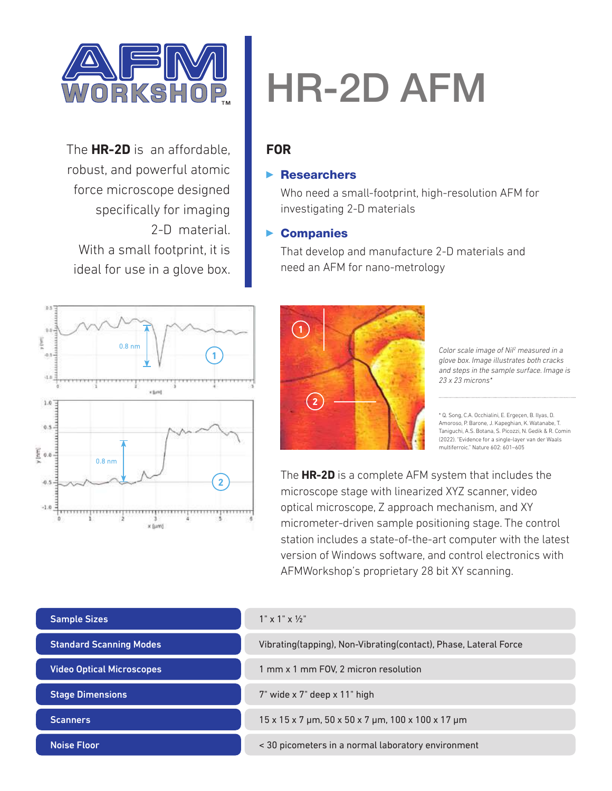

The **HR-2D** is an affordable, robust, and powerful atomic force microscope designed specifically for imaging 2-D material. With a small footprint, it is ideal for use in a glove box.



# HR-2D AFM

### **FOR**

### $\blacktriangleright$  Researchers

Who need a small-footprint, high-resolution AFM for investigating 2-D materials

### $\blacktriangleright$  Companies

That develop and manufacture 2-D materials and need an AFM for nano-metrology



*Color scale image of NiI2 measured in a glove box. Image illustrates both cracks and steps in the sample surface. Image is 23 x 23 microns\**

\* Q. Song, C.A. Occhialini, E. Ergeçen, B. Ilyas, D. Amoroso, P. Barone, J. Kapeghian, K. Watanabe, T. Taniguchi, A.S. Botana, S. Picozzi, N. Gedik & R. Comin (2022). "Evidence for a single-layer van der Waals multiferroic." Nature 602: 601–605

The **HR-2D** is a complete AFM system that includes the microscope stage with linearized XYZ scanner, video optical microscope, Z approach mechanism, and XY micrometer-driven sample positioning stage. The control station includes a state-of-the-art computer with the latest version of Windows software, and control electronics with AFMWorkshop's proprietary 28 bit XY scanning.

| <b>Sample Sizes</b>              | $1" \times 1" \times \frac{1}{2}$                                                     |  |
|----------------------------------|---------------------------------------------------------------------------------------|--|
| <b>Standard Scanning Modes</b>   | Vibrating(tapping), Non-Vibrating(contact), Phase, Lateral Force                      |  |
| <b>Video Optical Microscopes</b> | 1 mm x 1 mm FOV, 2 micron resolution                                                  |  |
| <b>Stage Dimensions</b>          | 7" wide x 7" deep x 11" high                                                          |  |
| <b>Scanners</b>                  | $15 \times 15 \times 7$ µm, $50 \times 50 \times 7$ µm, $100 \times 100 \times 17$ µm |  |
| <b>Noise Floor</b>               | < 30 picometers in a normal laboratory environment                                    |  |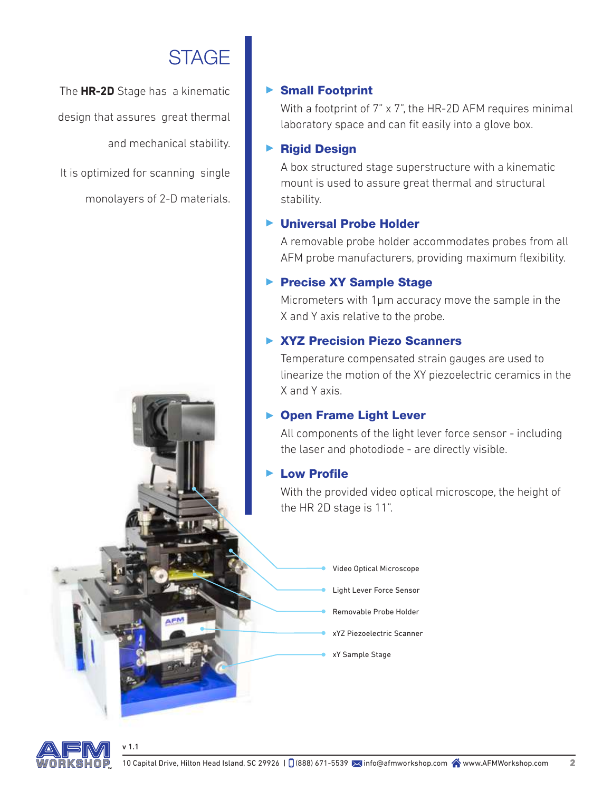# **STAGE**

The **HR-2D** Stage has a kinematic design that assures great thermal and mechanical stability.

It is optimized for scanning single monolayers of 2-D materials.

### ▶ Small Footprint

With a footprint of 7" x 7", the HR-2D AFM requires minimal laboratory space and can fit easily into a glove box.

### ▶ Rigid Design

A box structured stage superstructure with a kinematic mount is used to assure great thermal and structural stability.

### ▶ Universal Probe Holder

A removable probe holder accommodates probes from all AFM probe manufacturers, providing maximum flexibility.

### ▶ Precise XY Sample Stage

Micrometers with 1µm accuracy move the sample in the X and Y axis relative to the probe.

### ▶ XYZ Precision Piezo Scanners

Temperature compensated strain gauges are used to linearize the motion of the XY piezoelectric ceramics in the X and Y axis.

### ▶ Open Frame Light Lever

All components of the light lever force sensor - including the laser and photodiode - are directly visible.

### Low Profile

With the provided video optical microscope, the height of the HR 2D stage is 11".

> Video Optical Microscope Light Lever Force Sensor Removable Probe Holder xYZ Piezoelectric Scanner xY Sample Stage

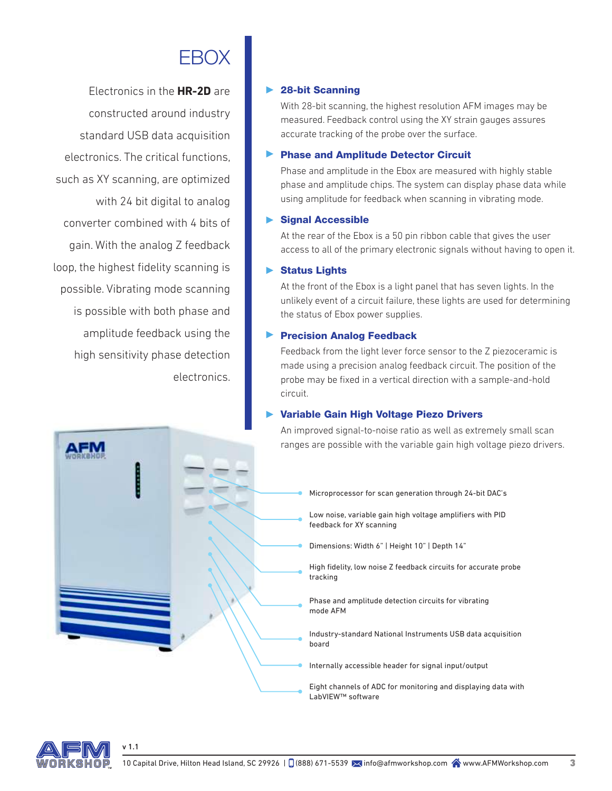# **FROX**

Electronics in the **HR-2D** are constructed around industry standard USB data acquisition electronics. The critical functions, such as XY scanning, are optimized with 24 bit digital to analog converter combined with 4 bits of gain. With the analog Z feedback loop, the highest fidelity scanning is possible. Vibrating mode scanning is possible with both phase and amplitude feedback using the high sensitivity phase detection electronics.

### 28-bit Scanning

With 28-bit scanning, the highest resolution AFM images may be measured. Feedback control using the XY strain gauges assures accurate tracking of the probe over the surface.

#### Phase and Amplitude Detector Circuit

Phase and amplitude in the Ebox are measured with highly stable phase and amplitude chips. The system can display phase data while using amplitude for feedback when scanning in vibrating mode.

#### Signal Accessible

At the rear of the Ebox is a 50 pin ribbon cable that gives the user access to all of the primary electronic signals without having to open it.

#### Status Lights

At the front of the Ebox is a light panel that has seven lights. In the unlikely event of a circuit failure, these lights are used for determining the status of Ebox power supplies.

#### Precision Analog Feedback

Feedback from the light lever force sensor to the Z piezoceramic is made using a precision analog feedback circuit. The position of the probe may be fixed in a vertical direction with a sample-and-hold circuit.

### Variable Gain High Voltage Piezo Drivers

An improved signal-to-noise ratio as well as extremely small scan ranges are possible with the variable gain high voltage piezo drivers.



Low noise, variable gain high voltage amplifiers with PID feedback for XY scanning

Dimensions: Width 6" | Height 10" | Depth 14"

High fidelity, low noise Z feedback circuits for accurate probe tracking

Phase and amplitude detection circuits for vibrating mode AFM

Industry-standard National Instruments USB data acquisition board

Internally accessible header for signal input/output

Eight channels of ADC for monitoring and displaying data with LabVIEW™ software



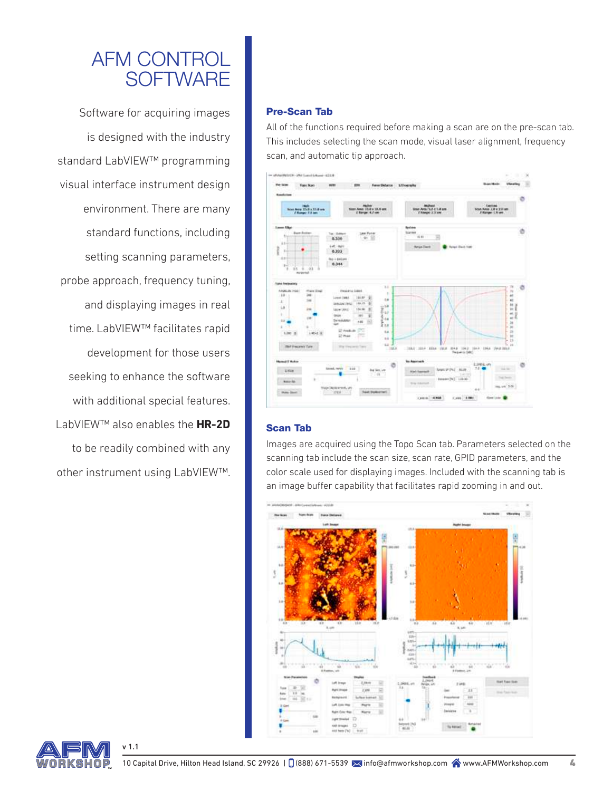# AFM CONTROL **SOFTWARE**

Software for acquiring images is designed with the industry standard LabVIEW™ programming visual interface instrument design environment. There are many standard functions, including setting scanning parameters, probe approach, frequency tuning, and displaying images in real time. LabVIEW™ facilitates rapid development for those users seeking to enhance the software with additional special features. LabVIEW™ also enables the **HR-2D** to be readily combined with any other instrument using LabVIEW™.

#### Pre-Scan Tab

All of the functions required before making a scan are on the pre-scan tab. This includes selecting the scan mode, visual laser alignment, frequency scan, and automatic tip approach.



#### Scan Tab

Images are acquired using the Topo Scan tab. Parameters selected on the scanning tab include the scan size, scan rate, GPID parameters, and the color scale used for displaying images. Included with the scanning tab is an image buffer capability that facilitates rapid zooming in and out.



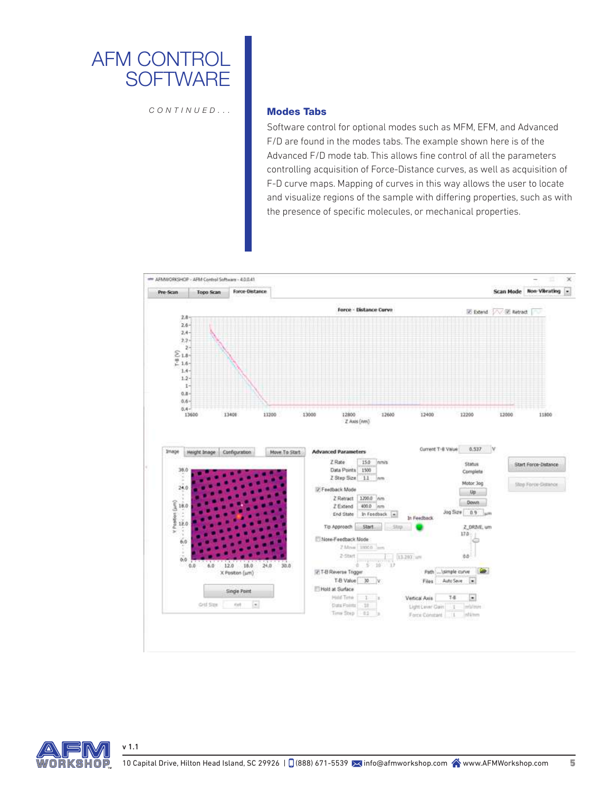

*CONTINUED...*

#### Modes Tabs

Software control for optional modes such as MFM, EFM, and Advanced F/D are found in the modes tabs. The example shown here is of the Advanced F/D mode tab. This allows fine control of all the parameters controlling acquisition of Force-Distance curves, as well as acquisition of F-D curve maps. Mapping of curves in this way allows the user to locate and visualize regions of the sample with differing properties, such as with the presence of specific molecules, or mechanical properties.



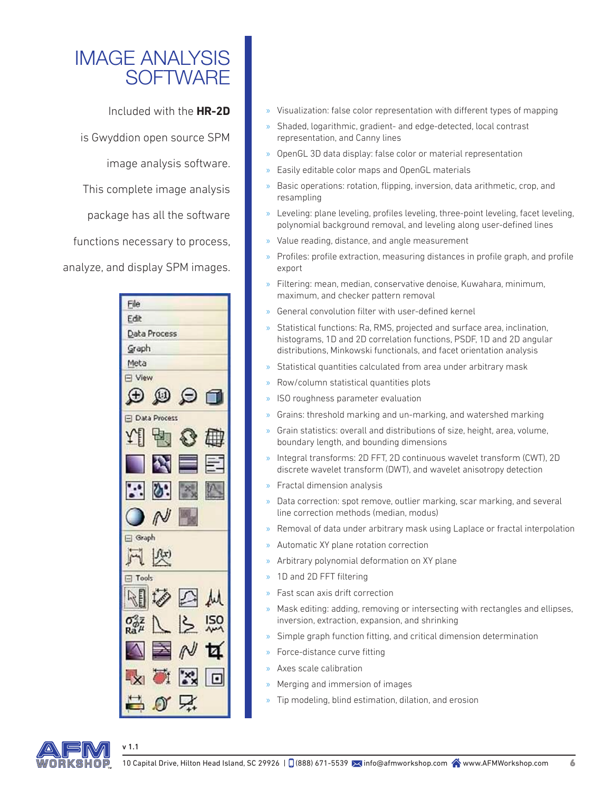# IMAGE ANALYSIS **SOFTWARE**

Included with the **HR-2D** is Gwyddion open source SPM image analysis software. This complete image analysis package has all the software functions necessary to process,

analyze, and display SPM images.



- » Visualization: false color representation with different types of mapping
- » Shaded, logarithmic, gradient- and edge-detected, local contrast representation, and Canny lines
- » OpenGL 3D data display: false color or material representation
- » Easily editable color maps and OpenGL materials
- » Basic operations: rotation, flipping, inversion, data arithmetic, crop, and resampling
- » Leveling: plane leveling, profiles leveling, three-point leveling, facet leveling, polynomial background removal, and leveling along user-defined lines
- » Value reading, distance, and angle measurement
- » Profiles: profile extraction, measuring distances in profile graph, and profile export
- » Filtering: mean, median, conservative denoise, Kuwahara, minimum, maximum, and checker pattern removal
- » General convolution filter with user-defined kernel
- » Statistical functions: Ra, RMS, projected and surface area, inclination, histograms, 1D and 2D correlation functions, PSDF, 1D and 2D angular distributions, Minkowski functionals, and facet orientation analysis
- » Statistical quantities calculated from area under arbitrary mask
- » Row/column statistical quantities plots
- » ISO roughness parameter evaluation
- » Grains: threshold marking and un-marking, and watershed marking
- » Grain statistics: overall and distributions of size, height, area, volume, boundary length, and bounding dimensions
- » Integral transforms: 2D FFT, 2D continuous wavelet transform (CWT), 2D discrete wavelet transform (DWT), and wavelet anisotropy detection
- » Fractal dimension analysis
- » Data correction: spot remove, outlier marking, scar marking, and several line correction methods (median, modus)
- » Removal of data under arbitrary mask using Laplace or fractal interpolation
- » Automatic XY plane rotation correction
- » Arbitrary polynomial deformation on XY plane
- » 1D and 2D FFT filtering
- » Fast scan axis drift correction
- » Mask editing: adding, removing or intersecting with rectangles and ellipses, inversion, extraction, expansion, and shrinking
- » Simple graph function fitting, and critical dimension determination
- » Force-distance curve fitting
- » Axes scale calibration
- » Merging and immersion of images
- » Tip modeling, blind estimation, dilation, and erosion

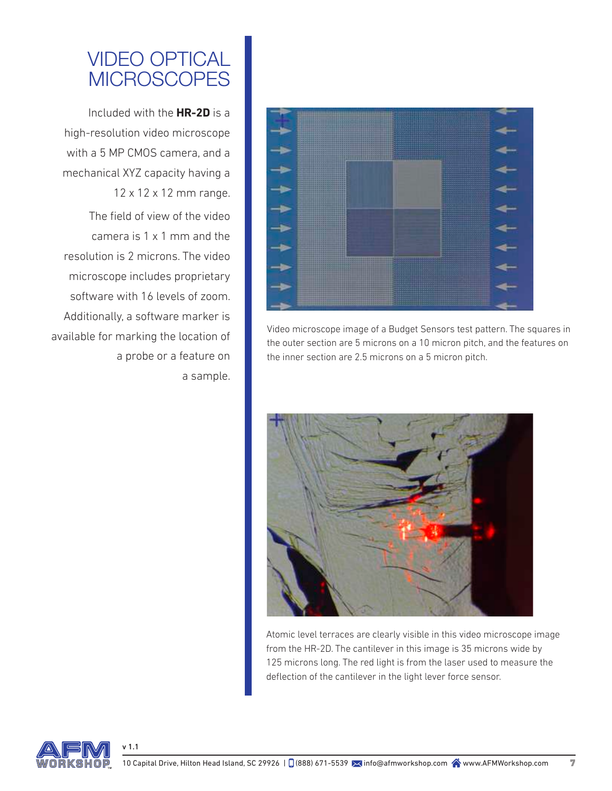# VIDEO OPTICAL **MICROSCOPES**

Included with the **HR-2D** is a high-resolution video microscope with a 5 MP CMOS camera, and a mechanical XYZ capacity having a 12 x 12 x 12 mm range.

The field of view of the video camera is 1 x 1 mm and the resolution is 2 microns. The video microscope includes proprietary software with 16 levels of zoom. Additionally, a software marker is available for marking the location of a probe or a feature on a sample.



Video microscope image of a Budget Sensors test pattern. The squares in the outer section are 5 microns on a 10 micron pitch, and the features on the inner section are 2.5 microns on a 5 micron pitch.



Atomic level terraces are clearly visible in this video microscope image from the HR-2D. The cantilever in this image is 35 microns wide by 125 microns long. The red light is from the laser used to measure the deflection of the cantilever in the light lever force sensor.

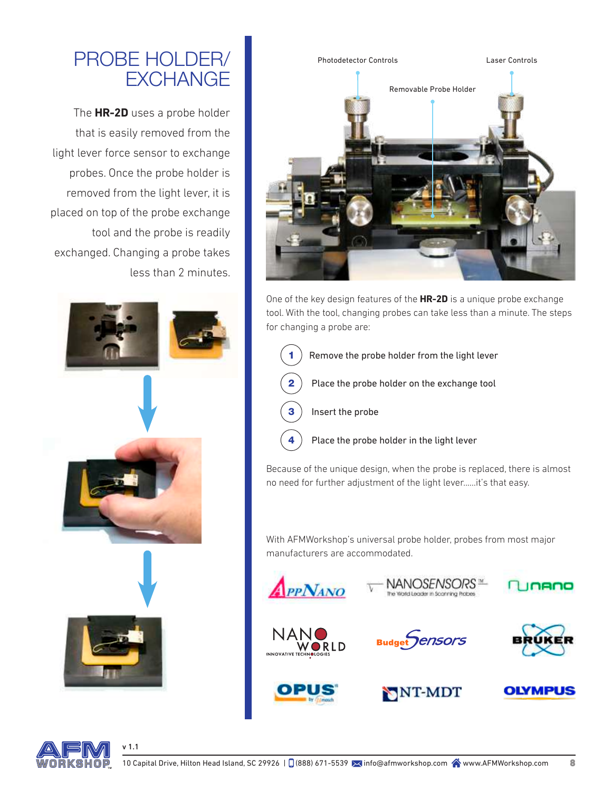# PROBE HOLDER/ **EXCHANGE**

The **HR-2D** uses a probe holder that is easily removed from the light lever force sensor to exchange probes. Once the probe holder is removed from the light lever, it is placed on top of the probe exchange tool and the probe is readily exchanged. Changing a probe takes less than 2 minutes.



v 1.1



One of the key design features of the **HR-2D** is a unique probe exchange tool. With the tool, changing probes can take less than a minute. The steps for changing a probe are:

- Remove the probe holder from the light lever Place the probe holder on the exchange tool Insert the probe
	- Place the probe holder in the light lever

Because of the unique design, when the probe is replaced, there is almost no need for further adjustment of the light lever......it's that easy.

With AFMWorkshop's universal probe holder, probes from most major manufacturers are accommodated.





NANOSENSORS™

**Budget** *CENSORS* 

NNT-MDT



**OLYMPUS** 

Inano

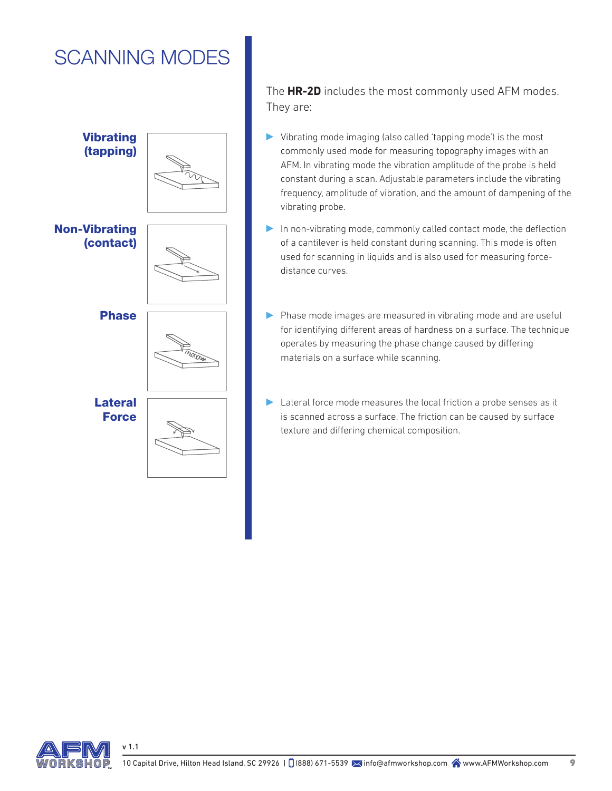# SCANNING MODES



The **HR-2D** includes the most commonly used AFM modes. They are:

- Vibrating mode imaging (also called 'tapping mode') is the most commonly used mode for measuring topography images with an AFM. In vibrating mode the vibration amplitude of the probe is held constant during a scan. Adjustable parameters include the vibrating frequency, amplitude of vibration, and the amount of dampening of the vibrating probe.
- In non-vibrating mode, commonly called contact mode, the deflection of a cantilever is held constant during scanning. This mode is often used for scanning in liquids and is also used for measuring forcedistance curves.
- **Phase Phase Phase mode images are measured in vibrating mode and are useful** for identifying different areas of hardness on a surface. The technique operates by measuring the phase change caused by differing materials on a surface while scanning.
	- Lateral force mode measures the local friction a probe senses as it is scanned across a surface. The friction can be caused by surface texture and differing chemical composition.

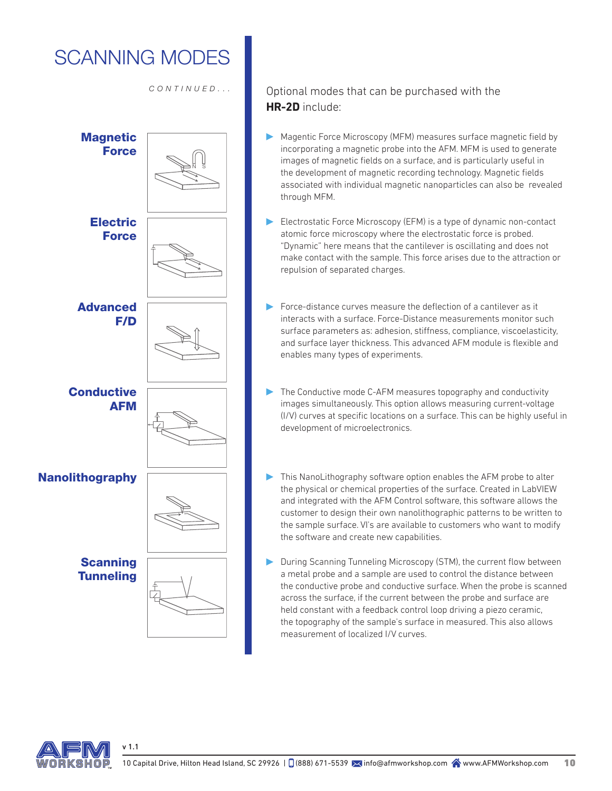# SCANNING MODES

*CONTINUED...*



### Optional modes that can be purchased with the **HR-2D** include:

- Magentic Force Microscopy (MFM) measures surface magnetic field by incorporating a magnetic probe into the AFM. MFM is used to generate images of magnetic fields on a surface, and is particularly useful in the development of magnetic recording technology. Magnetic fields associated with individual magnetic nanoparticles can also be revealed through MFM.
- Electrostatic Force Microscopy (EFM) is a type of dynamic non-contact atomic force microscopy where the electrostatic force is probed. "Dynamic" here means that the cantilever is oscillating and does not make contact with the sample. This force arises due to the attraction or repulsion of separated charges.
- Force-distance curves measure the deflection of a cantilever as it interacts with a surface. Force-Distance measurements monitor such surface parameters as: adhesion, stiffness, compliance, viscoelasticity, and surface layer thickness. This advanced AFM module is flexible and enables many types of experiments.
- The Conductive mode C-AFM measures topography and conductivity images simultaneously. This option allows measuring current-voltage (I/V) curves at specific locations on a surface. This can be highly useful in development of microelectronics.
- **Nanolithography This NanoLithography software option enables the AFM probe to alter** the physical or chemical properties of the surface. Created in LabVIEW and integrated with the AFM Control software, this software allows the customer to design their own nanolithographic patterns to be written to the sample surface. VI's are available to customers who want to modify the software and create new capabilities.
	- During Scanning Tunneling Microscopy (STM), the current flow between a metal probe and a sample are used to control the distance between the conductive probe and conductive surface. When the probe is scanned across the surface, if the current between the probe and surface are held constant with a feedback control loop driving a piezo ceramic, the topography of the sample's surface in measured. This also allows measurement of localized I/V curves.

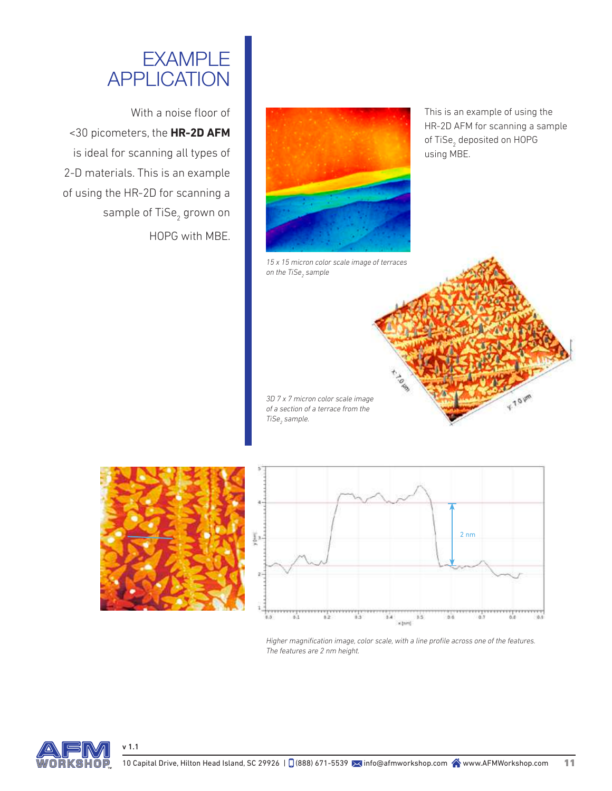# EXAMPLE APPLICATION

With a noise floor of <30 picometers, the **HR-2D AFM** is ideal for scanning all types of 2-D materials. This is an example of using the HR-2D for scanning a sample of TiSe<sub>2</sub> grown on HOPG with MBE.



*15 x 15 micron color scale image of terraces*  on the TiSe<sub>2</sub> sample

This is an example of using the HR-2D AFM for scanning a sample of TiSe<sub>2</sub> deposited on HOPG using MBE.

Y. TO UM

*3D 7 x 7 micron color scale image of a section of a terrace from the*   $TiSe<sub>2</sub>$  sample.





TO UP

*Higher magnification image, color scale, with a line profile across one of the features. The features are 2 nm height.*

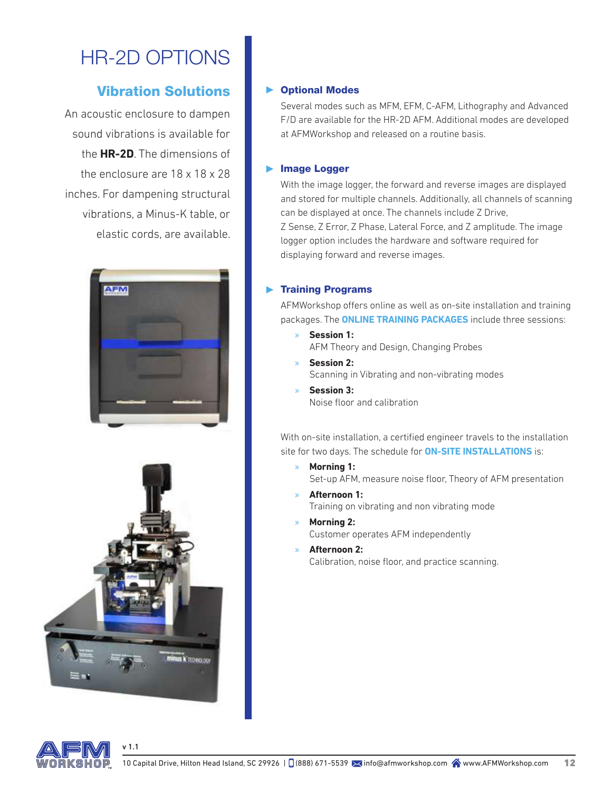# HR-2D OPTIONS

### Vibration Solutions

An acoustic enclosure to dampen sound vibrations is available for the **HR-2D**. The dimensions of the enclosure are 18 x 18 x 28 inches. For dampening structural vibrations, a Minus-K table, or elastic cords, are available.





v 1.1

### Optional Modes

Several modes such as MFM, EFM, C-AFM, Lithography and Advanced F/D are available for the HR-2D AFM. Additional modes are developed at AFMWorkshop and released on a routine basis.

### **Image Logger**

With the image logger, the forward and reverse images are displayed and stored for multiple channels. Additionally, all channels of scanning can be displayed at once. The channels include Z Drive, Z Sense, Z Error, Z Phase, Lateral Force, and Z amplitude. The image logger option includes the hardware and software required for displaying forward and reverse images.

### **Training Programs**

AFMWorkshop offers online as well as on-site installation and training packages. The **ONLINE TRAINING PACKAGES** include three sessions:

» **Session 1:** AFM Theory and Design, Changing Probes

» **Session 2:** Scanning in Vibrating and non-vibrating modes

» **Session 3:** Noise floor and calibration

With on-site installation, a certified engineer travels to the installation site for two days. The schedule for **ON-SITE INSTALLATIONS** is:

- » **Morning 1:** Set-up AFM, measure noise floor, Theory of AFM presentation
- » **Afternoon 1:** Training on vibrating and non vibrating mode
	- » **Morning 2:** Customer operates AFM independently
- » **Afternoon 2:** Calibration, noise floor, and practice scanning.

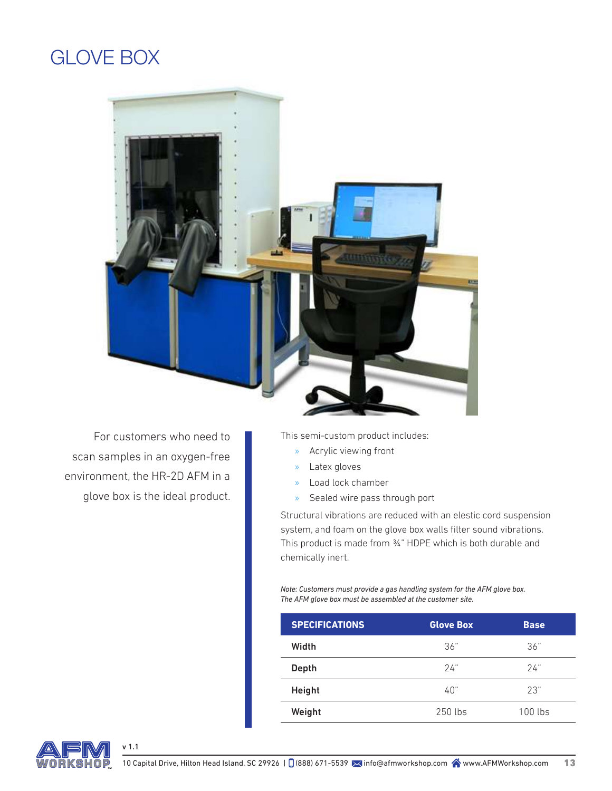### GLOVE BOX



For customers who need to scan samples in an oxygen-free environment, the HR-2D AFM in a glove box is the ideal product. This semi-custom product includes:

- » Acrylic viewing front
- » Latex gloves
- » Load lock chamber
- » Sealed wire pass through port

Structural vibrations are reduced with an elestic cord suspension system, and foam on the glove box walls filter sound vibrations. This product is made from 34" HDPE which is both durable and chemically inert.

*Note: Customers must provide a gas handling system for the AFM glove box. The AFM glove box must be assembled at the customer site.*

| <b>SPECIFICATIONS</b> | <b>Glove Box</b> | <b>Base</b> |
|-----------------------|------------------|-------------|
| Width                 | 36"              | 36"         |
| Depth                 | 24"              | 24"         |
| Height                | 40"              | 23"         |
| Weight                | 250 lbs          | $100$ lbs   |

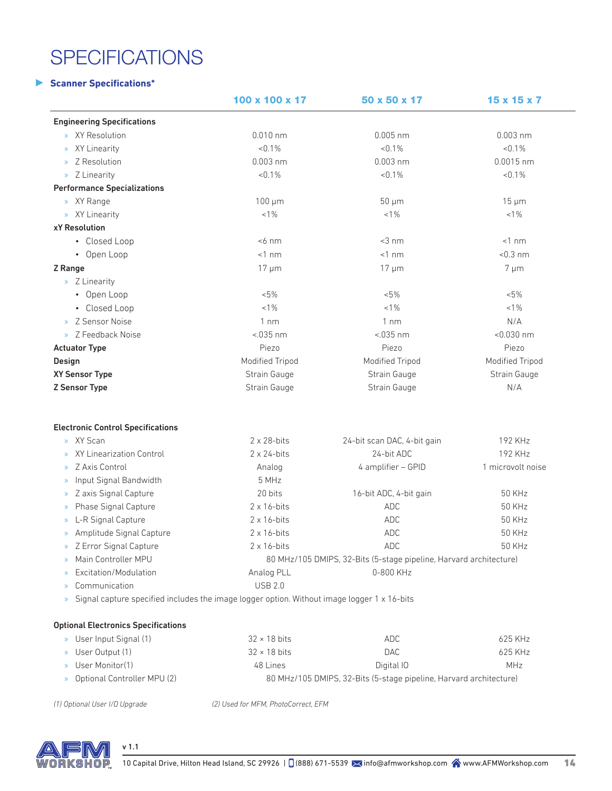# **SPECIFICATIONS**

#### **Scanner Specifications\***

|                                                                                                      | 100 x 100 x 17      | 50 x 50 x 17                                                       | 15 x 15 x 7       |
|------------------------------------------------------------------------------------------------------|---------------------|--------------------------------------------------------------------|-------------------|
| <b>Engineering Specifications</b>                                                                    |                     |                                                                    |                   |
| XY Resolution<br>$\mathcal{D}$                                                                       | $0.010$ nm          | $0.005$ nm                                                         | $0.003$ nm        |
| XY Linearity<br>$\gg$                                                                                | $< 0.1\%$           | $< 0.1\%$                                                          | < 0.1%            |
| Z Resolution<br>$\mathcal{D}$                                                                        | $0.003$ nm          | $0.003$ nm                                                         | $0.0015$ nm       |
| » Z Linearity                                                                                        | $< 0.1\%$           | $< 0.1\%$                                                          | < 0.1%            |
| <b>Performance Specializations</b>                                                                   |                     |                                                                    |                   |
| » XY Range                                                                                           | $100 \mu m$         | $50 \mu m$                                                         | $15 \mu m$        |
| » XY Linearity                                                                                       | $< 1\%$             | $< 1\%$                                                            | $< 1\%$           |
| <b>xY Resolution</b>                                                                                 |                     |                                                                    |                   |
| • Closed Loop                                                                                        | $<$ 6 nm            | $<$ 3 nm                                                           | $<1$ nm           |
| • Open Loop                                                                                          | $<1$ nm             | $<1$ nm                                                            | $< 0.3$ nm        |
| Z Range                                                                                              | $17 \mu m$          | $17 \mu m$                                                         | $7 \mu m$         |
| » Z Linearity                                                                                        |                     |                                                                    |                   |
| • Open Loop                                                                                          | $< 5\%$             | $< 5\%$                                                            | $< 5\%$           |
| • Closed Loop                                                                                        | $< 1\%$             | $< 1\%$                                                            | $< 1\%$           |
| Z Sensor Noise<br>$\mathcal{D}$                                                                      | $1 \text{ nm}$      | $1 \text{ nm}$                                                     | N/A               |
| > Z Feedback Noise                                                                                   | $< 0.035$ nm        | $< 035$ nm                                                         | $< 0.030$ nm      |
| <b>Actuator Type</b>                                                                                 | Piezo               | Piezo                                                              | Piezo             |
| Design                                                                                               | Modified Tripod     | Modified Tripod                                                    | Modified Tripod   |
| XY Sensor Type                                                                                       | Strain Gauge        | Strain Gauge                                                       | Strain Gauge      |
| <b>Z Sensor Type</b>                                                                                 | Strain Gauge        | Strain Gauge                                                       | N/A               |
| <b>Electronic Control Specifications</b>                                                             |                     |                                                                    |                   |
| » XY Scan                                                                                            | $2 \times 28$ -bits | 24-bit scan DAC, 4-bit gain                                        | 192 KHz           |
| XY Linearization Control<br>$\gg$                                                                    | $2 \times 24$ -bits | 24-bit ADC                                                         | 192 KHz           |
| Z Axis Control<br>$\rangle$                                                                          | Analog              | 4 amplifier - GPID                                                 | 1 microvolt noise |
| Input Signal Bandwidth<br>$\gg$                                                                      | 5 MHz               |                                                                    |                   |
| Z axis Signal Capture<br>$\gg$                                                                       | 20 bits             | 16-bit ADC, 4-bit gain                                             | <b>50 KHz</b>     |
| Phase Signal Capture<br>$\gg$                                                                        | $2 \times 16$ -bits | <b>ADC</b>                                                         | <b>50 KHz</b>     |
| L-R Signal Capture<br>$\gg$                                                                          | $2 \times 16$ -bits | <b>ADC</b>                                                         | <b>50 KHz</b>     |
| Amplitude Signal Capture<br>$\rangle$                                                                | $2 \times 16$ -bits | <b>ADC</b>                                                         | <b>50 KHz</b>     |
| Z Error Signal Capture<br>$\gg$                                                                      | $2 \times 16$ -bits | <b>ADC</b>                                                         | 50 KHz            |
| Main Controller MPU                                                                                  |                     | 80 MHz/105 DMIPS, 32-Bits (5-stage pipeline, Harvard architecture) |                   |
| Excitation/Modulation<br>$\mathcal{D}$                                                               | Analog PLL          | 0-800 KHz                                                          |                   |
| Communication<br>$\mathcal{D}$                                                                       | <b>USB 2.0</b>      |                                                                    |                   |
| Signal capture specified includes the image logger option. Without image logger 1 x 16-bits<br>$\gg$ |                     |                                                                    |                   |
|                                                                                                      |                     |                                                                    |                   |
| <b>Optional Electronics Specifications</b>                                                           |                     |                                                                    |                   |
| » User Input Signal (1)                                                                              | $32 \times 18$ bits | ADC                                                                | 625 KHz           |

|                               |                     | .                                                                  | ------  |
|-------------------------------|---------------------|--------------------------------------------------------------------|---------|
| » User Output (1)             | $32 \times 18$ bits | DAC                                                                | 625 KHz |
| » User Monitor(1)             | 48 Lines            | Digital IO                                                         | MHz     |
| > Optional Controller MPU (2) |                     | 80 MHz/105 DMIPS, 32-Bits (5-stage pipeline, Harvard architecture) |         |

*(1) Optional User I/O Upgrade (2) Used for MFM, PhotoCorrect, EFM*